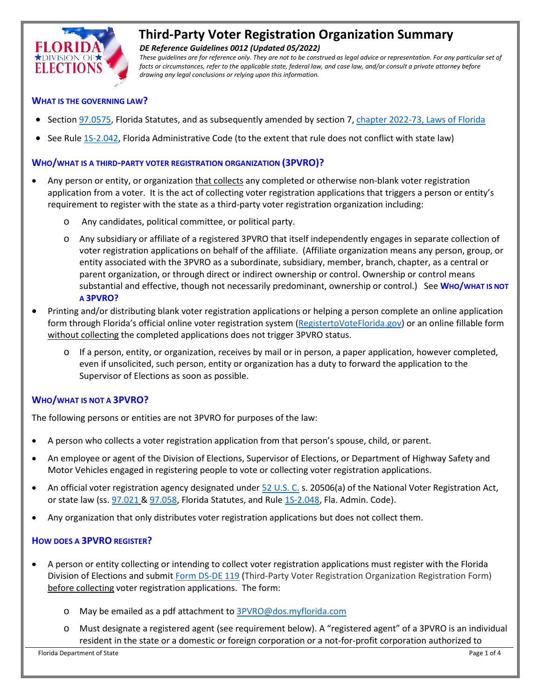

# **Third-Party Voter Registration Organization Summary**

*DE Reference Guidelines 0012 (Updated 05/2022)*

*These guidelines are for reference only. They are not to be construed as legal advice or representation. For any particular set of*  facts or circumstances, refer to the applicable state, federal law, and case law, and/or consult a private attorney before *drawing any legal conclusions or relying upon this information.*

#### **WHAT IS THE GOVERNING LAW?**

- Sectio[n 97.0575,](http://www.leg.state.fl.us/Statutes/index.cfm?App_mode=Display_Statute&Search_String=&URL=0000-0099/0097/Sections/0097.0575.html) Florida Statutes, and as subsequently amended by section 7, [chapter 2022-73, Laws of Florida](http://laws.flrules.org/2022/73)
- See Rul[e 1S-2.042,](http://election.myflorida.com/rules/adopted-rules/pdf/1S2042_12-12.pdf) Florida Administrative Code (to the extent that rule does not conflict with state law)

#### **WHO/WHAT IS A THIRD-PARTY VOTER REGISTRATION ORGANIZATION (3PVRO)?**

- Any person or entity, or organization that collects any completed or otherwise non-blank voter registration application from a voter. It is the act of collecting voter registration applications that triggers a person or entity's requirement to register with the state as a third-party voter registration organization including:
	- o Any candidates, political committee, or political party.
	- o Any subsidiary or affiliate of a registered 3PVRO that itself independently engages in separate collection of voter registration applications on behalf of the affiliate. (Affiliate organization means any person, group, or entity associated with the 3PVRO as a subordinate, subsidiary, member, branch, chapter, as a central or parent organization, or through direct or indirect ownership or control. Ownership or control means substantial and effective, though not necessarily predominant, ownership or control.) See **WHO/WHAT IS NOT A 3PVRO?**
- Printing and/or distributing blank voter registration applications or helping a person complete an online application form through Florida's official online voter registration system [\(RegistertoVoteFlorida.gov\)](https://www.registertovoteflorida.gov/en/Registration/Index) or an online fillable form without collecting the completed applications does not trigger 3PVRO status.
	- o If a person, entity, or organization, receives by mail or in person, a paper application, however completed, even if unsolicited, such person, entity or organization has a duty to forward the application to the Supervisor of Elections as soon as possible.

## **WHO/WHAT IS NOT A 3PVRO?**

The following persons or entities are not 3PVRO for purposes of the law:

- A person who collects a voter registration application from that person's spouse, child, or parent.
- An employee or agent of the Division of Elections, Supervisor of Elections, or Department of Highway Safety and Motor Vehicles engaged in registering people to vote or collecting voter registration applications.
- An official voter registration agency designated unde[r 52 U.S. C.](https://www.govinfo.gov/content/pkg/USCODE-2014-title52/pdf/USCODE-2014-title52.pdf) s. 20506(a) of the National Voter Registration Act, or state law (ss. [97.021](http://www.leg.state.fl.us/Statutes/index.cfm?App_mode=Display_Statute&Search_String=&URL=0000-0099/0097/Sections/0097.021.html) [& 97.058,](http://www.leg.state.fl.us/Statutes/index.cfm?App_mode=Display_Statute&Search_String=&URL=0000-0099/0097/Sections/0097.058.html) Florida Statutes, and Rul[e 1S-2.048,](http://doedoe.dhttps/www.flrules.org/gateway/RuleNo.asp?title=ELECTIONS&ID=1S-2.048os.state.fl.us/rules/adopted-rules/pdf/1S2048.pdf) Fla. Admin. Code).
- Any organization that only distributes voter registration applications but does not collect them.

## **HOW DOES A 3PVRO REGISTER?**

- A person or entity collecting or intending to collect voter registration applications must register with the Florida Division of Elections and submi[t Form DS-DE 119](http://dos.myflorida.com/elections/forms-publications/forms/) (Third-Party Voter Registration Organization Registration Form) before collecting voter registration applications. The form:
	- o May be emailed as a pdf attachment to [3PVRO@dos.myflorida.com](mailto:3PVRO@dos.myflorida.com)
	- o Must designate a registered agent (see requirement below). A "registered agent" of a 3PVRO is an individual resident in the state or a domestic or foreign corporation or a not-for-profit corporation authorized to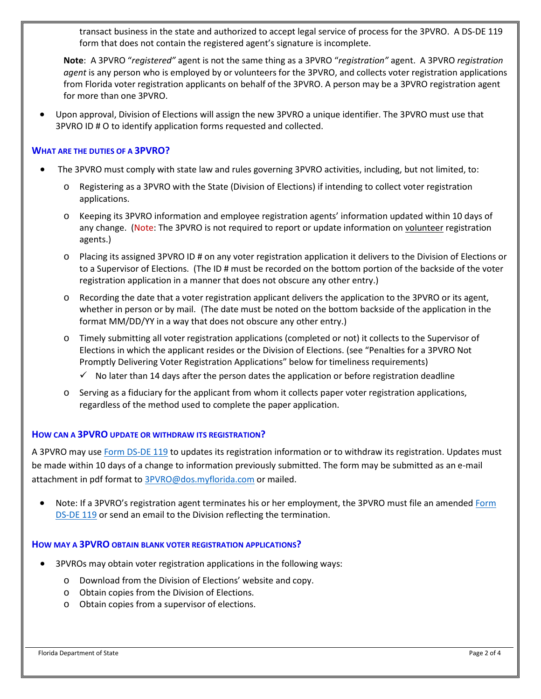transact business in the state and authorized to accept legal service of process for the 3PVRO. A DS-DE 119 form that does not contain the registered agent's signature is incomplete.

**Note**: A 3PVRO "*registered"* agent is not the same thing as a 3PVRO "*registration"* agent. A 3PVRO *registration agent* is any person who is employed by or volunteers for the 3PVRO, and collects voter registration applications from Florida voter registration applicants on behalf of the 3PVRO. A person may be a 3PVRO registration agent for more than one 3PVRO.

• Upon approval, Division of Elections will assign the new 3PVRO a unique identifier. The 3PVRO must use that 3PVRO ID # O to identify application forms requested and collected.

#### **WHAT ARE THE DUTIES OF A 3PVRO?**

- The 3PVRO must comply with state law and rules governing 3PVRO activities, including, but not limited, to:
	- o Registering as a 3PVRO with the State (Division of Elections) if intending to collect voter registration applications.
	- o Keeping its 3PVRO information and employee registration agents' information updated within 10 days of any change. (Note: The 3PVRO is not required to report or update information on volunteer registration agents.)
	- o Placing its assigned 3PVRO ID # on any voter registration application it delivers to the Division of Elections or to a Supervisor of Elections. (The ID # must be recorded on the bottom portion of the backside of the voter registration application in a manner that does not obscure any other entry.)
	- o Recording the date that a voter registration applicant delivers the application to the 3PVRO or its agent, whether in person or by mail. (The date must be noted on the bottom backside of the application in the format MM/DD/YY in a way that does not obscure any other entry.)
	- o Timely submitting all voter registration applications (completed or not) it collects to the Supervisor of Elections in which the applicant resides or the Division of Elections. (see "Penalties for a 3PVRO Not Promptly Delivering Voter Registration Applications" below for timeliness requirements)
		- $\checkmark$  No later than 14 days after the person dates the application or before registration deadline
	- o Serving as a fiduciary for the applicant from whom it collects paper voter registration applications, regardless of the method used to complete the paper application.

# **HOW CAN A 3PVRO UPDATE OR WITHDRAW ITS REGISTRATION?**

A 3PVRO may us[e Form DS-DE 119](https://dos.myflorida.com/elections/forms-publications/forms/) to updates its registration information or to withdraw its registration. Updates must be made within 10 days of a change to information previously submitted. The form may be submitted as an e-mail attachment in pdf format to [3PVRO@dos.myflorida.com](mailto:3PVRO@dos.myflorida.com) or mailed.

• Note: If a 3PVRO's registration agent terminates his or her employment, the 3PVRO must file an amended Form [DS-DE 119](https://dos.myflorida.com/elections/forms-publications/forms/) or send an email to the Division reflecting the termination.

# **HOW MAY A 3PVRO OBTAIN BLANK VOTER REGISTRATION APPLICATIONS?**

- 3PVROs may obtain voter registration applications in the following ways:
	- o Download from the Division of Elections' website and copy.
	- o Obtain copies from the Division of Elections.
	- o Obtain copies from a supervisor of elections.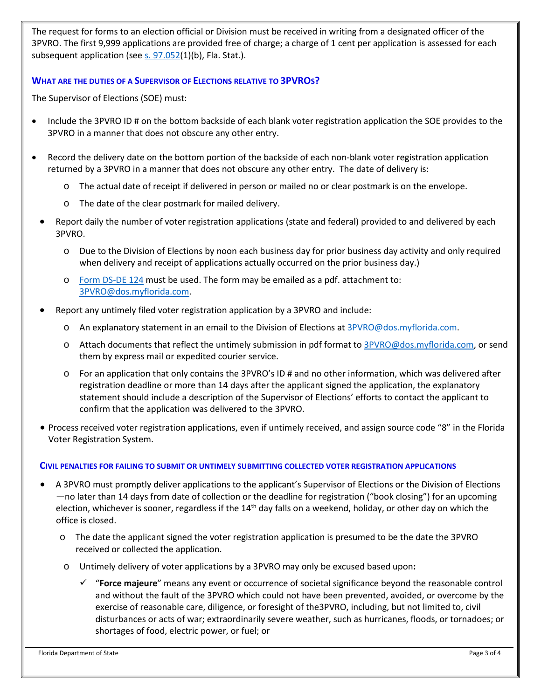The request for forms to an election official or Division must be received in writing from a designated officer of the 3PVRO. The first 9,999 applications are provided free of charge; a charge of 1 cent per application is assessed for each subsequent application (see s. [97.052\(](http://www.leg.state.fl.us/statutes/index.cfm?mode=View%20Statutes&SubMenu=1&App_mode=Display_Statute&Search_String=97.052&URL=0000-0099/0097/Sections/0097.052.html)1)(b), Fla. Stat.).

# **WHAT ARE THE DUTIES OF A SUPERVISOR OF ELECTIONS RELATIVE TO 3PVROS?**

The Supervisor of Elections (SOE) must:

- Include the 3PVRO ID # on the bottom backside of each blank voter registration application the SOE provides to the 3PVRO in a manner that does not obscure any other entry.
- Record the delivery date on the bottom portion of the backside of each non-blank voter registration application returned by a 3PVRO in a manner that does not obscure any other entry. The date of delivery is:
	- o The actual date of receipt if delivered in person or mailed no or clear postmark is on the envelope.
	- o The date of the clear postmark for mailed delivery.
	- Report daily the number of voter registration applications (state and federal) provided to and delivered by each 3PVRO.
		- o Due to the Division of Elections by noon each business day for prior business day activity and only required when delivery and receipt of applications actually occurred on the prior business day.)
		- o [Form DS-DE 124](https://dos.myflorida.com/elections/forms-publications/forms/) must be used. The form may be emailed as a pdf. attachment to: [3PVRO@dos.myflorida.com.](mailto:3PVRO@dos.myflorida.com)
	- Report any untimely filed voter registration application by a 3PVRO and include:
		- $\circ$  An explanatory statement in an email to the Division of Elections at [3PVRO@dos.myflorida.com.](mailto:3PVRO@dos.myflorida.com)
		- o Attach documents that reflect the untimely submission in pdf format to [3PVRO@dos.myflorida.com,](mailto:3PVRO@dos.myflorida.com) or send them by express mail or expedited courier service.
		- o For an application that only contains the 3PVRO's ID # and no other information, which was delivered after registration deadline or more than 14 days after the applicant signed the application, the explanatory statement should include a description of the Supervisor of Elections' efforts to contact the applicant to confirm that the application was delivered to the 3PVRO.
	- Process received voter registration applications, even if untimely received, and assign source code "8" in the Florida Voter Registration System.

## **CIVIL PENALTIES FOR FAILING TO SUBMIT OR UNTIMELY SUBMITTING COLLECTED VOTER REGISTRATION APPLICATIONS**

- A 3PVRO must promptly deliver applications to the applicant's Supervisor of Elections or the Division of Elections —no later than 14 days from date of collection or the deadline for registration ("book closing") for an upcoming election, whichever is sooner, regardless if the  $14<sup>th</sup>$  day falls on a weekend, holiday, or other day on which the office is closed.
	- o The date the applicant signed the voter registration application is presumed to be the date the 3PVRO received or collected the application.
	- o Untimely delivery of voter applications by a 3PVRO may only be excused based upon**:**
		- "**Force majeure**" means any event or occurrence of societal significance beyond the reasonable control and without the fault of the 3PVRO which could not have been prevented, avoided, or overcome by the exercise of reasonable care, diligence, or foresight of the3PVRO, including, but not limited to, civil disturbances or acts of war; extraordinarily severe weather, such as hurricanes, floods, or tornadoes; or shortages of food, electric power, or fuel; or